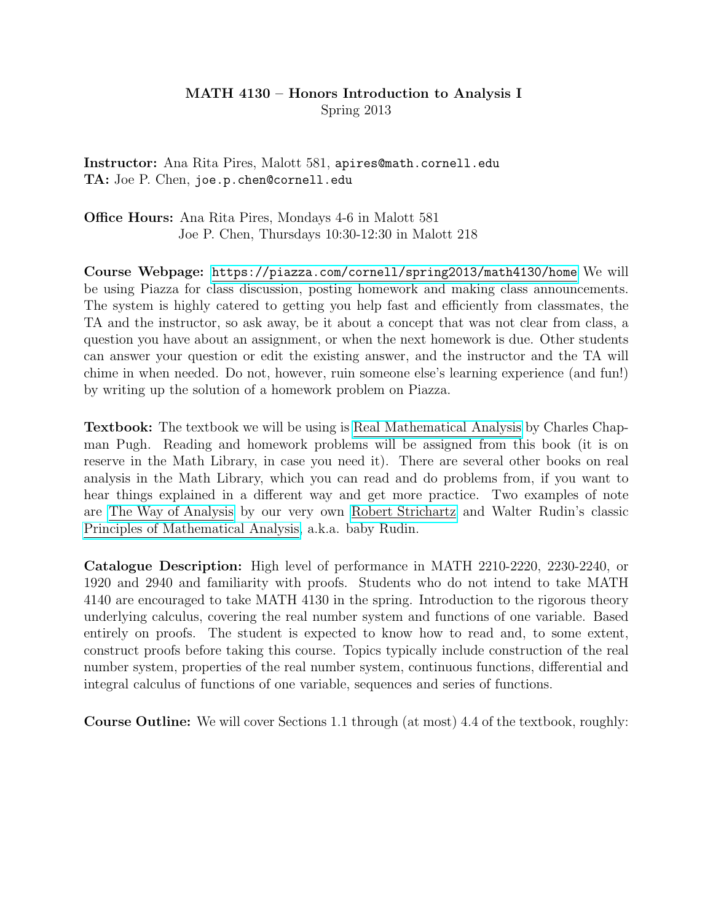## MATH 4130 – Honors Introduction to Analysis I Spring 2013

Instructor: Ana Rita Pires, Malott 581, apires@math.cornell.edu TA: Joe P. Chen, joe.p.chen@cornell.edu

Office Hours: Ana Rita Pires, Mondays 4-6 in Malott 581 Joe P. Chen, Thursdays 10:30-12:30 in Malott 218

Course Webpage: <https://piazza.com/cornell/spring2013/math4130/home> We will be using Piazza for class discussion, posting homework and making class announcements. The system is highly catered to getting you help fast and efficiently from classmates, the TA and the instructor, so ask away, be it about a concept that was not clear from class, a question you have about an assignment, or when the next homework is due. Other students can answer your question or edit the existing answer, and the instructor and the TA will chime in when needed. Do not, however, ruin someone else's learning experience (and fun!) by writing up the solution of a homework problem on Piazza.

Textbook: The textbook we will be using is [Real Mathematical Analysis](http://www.amazon.com/Real-Mathematical-Analysis-Charles-Chapman/dp/0387952977) by Charles Chapman Pugh. Reading and homework problems will be assigned from this book (it is on reserve in the Math Library, in case you need it). There are several other books on real analysis in the Math Library, which you can read and do problems from, if you want to hear things explained in a different way and get more practice. Two examples of note are [The Way of Analysis](http://www.amazon.com/Analysis-Revised-Jones-Bartlett-Mathematics/dp/0763714976) by our very own [Robert Strichartz](http://www.math.cornell.edu/People/Faculty/strichartz.html) and Walter Rudin's classic [Principles of Mathematical Analysis,](http://www.amazon.com/Principles-Mathematical-Analysis-Third-Walter/dp/007054235X) a.k.a. baby Rudin.

Catalogue Description: High level of performance in MATH 2210-2220, 2230-2240, or 1920 and 2940 and familiarity with proofs. Students who do not intend to take MATH 4140 are encouraged to take MATH 4130 in the spring. Introduction to the rigorous theory underlying calculus, covering the real number system and functions of one variable. Based entirely on proofs. The student is expected to know how to read and, to some extent, construct proofs before taking this course. Topics typically include construction of the real number system, properties of the real number system, continuous functions, differential and integral calculus of functions of one variable, sequences and series of functions.

Course Outline: We will cover Sections 1.1 through (at most) 4.4 of the textbook, roughly: